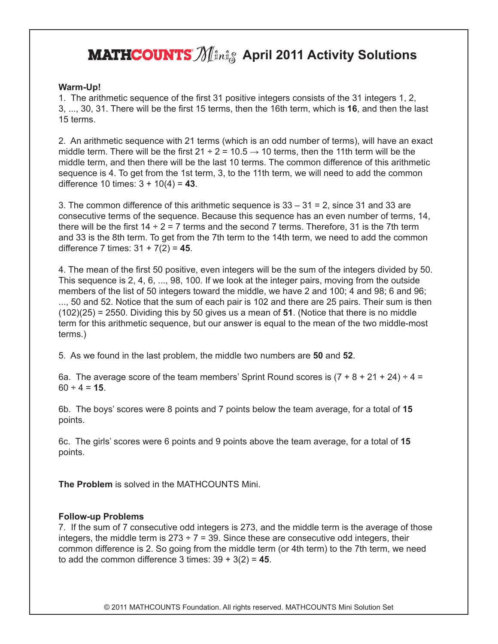## **MATHCOUNTS**  $\mathcal{N}$  **April 2011 Activity Solutions**

## **Warm-Up!**

1. The arithmetic sequence of the first 31 positive integers consists of the 31 integers 1, 2, 3, ..., 30, 31. There will be the first 15 terms, then the 16th term, which is **16**, and then the last 15 terms.

2. An arithmetic sequence with 21 terms (which is an odd number of terms), will have an exact middle term. There will be the first  $21 \div 2 = 10.5 \rightarrow 10$  terms, then the 11th term will be the middle term, and then there will be the last 10 terms. The common difference of this arithmetic sequence is 4. To get from the 1st term, 3, to the 11th term, we will need to add the common difference 10 times: 3 + 10(4) = **43**.

3. The common difference of this arithmetic sequence is  $33 - 31 = 2$ , since 31 and 33 are consecutive terms of the sequence. Because this sequence has an even number of terms, 14, there will be the first  $14 \div 2 = 7$  terms and the second 7 terms. Therefore, 31 is the 7th term and 33 is the 8th term. To get from the 7th term to the 14th term, we need to add the common difference 7 times: 31 + 7(2) = **45**.

4. The mean of the first 50 positive, even integers will be the sum of the integers divided by 50. This sequence is 2, 4, 6, ..., 98, 100. If we look at the integer pairs, moving from the outside members of the list of 50 integers toward the middle, we have 2 and 100; 4 and 98; 6 and 96; ..., 50 and 52. Notice that the sum of each pair is 102 and there are 25 pairs. Their sum is then (102)(25) = 2550. Dividing this by 50 gives us a mean of **51**. (Notice that there is no middle term for this arithmetic sequence, but our answer is equal to the mean of the two middle-most terms.)

5. As we found in the last problem, the middle two numbers are **50** and **52**.

6a. The average score of the team members' Sprint Round scores is  $(7 + 8 + 21 + 24) \div 4 =$  $60 \div 4 = 15$ .

6b. The boys' scores were 8 points and 7 points below the team average, for a total of **15** points.

6c. The girls' scores were 6 points and 9 points above the team average, for a total of **15** points.

**The Problem** is solved in the MATHCOUNTS Mini.

## **Follow-up Problems**

7. If the sum of 7 consecutive odd integers is 273, and the middle term is the average of those integers, the middle term is  $273 \div 7 = 39$ . Since these are consecutive odd integers, their common difference is 2. So going from the middle term (or 4th term) to the 7th term, we need to add the common difference  $3 \times 39 + 3(2) = 45$ .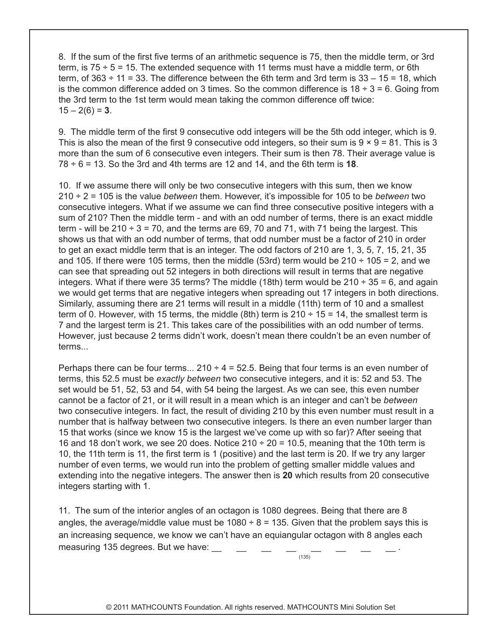8. If the sum of the first five terms of an arithmetic sequence is 75, then the middle term, or 3rd term, is  $75 \div 5 = 15$ . The extended sequence with 11 terms must have a middle term, or 6th term, of  $363 \div 11 = 33$ . The difference between the 6th term and 3rd term is  $33 - 15 = 18$ , which is the common difference added on 3 times. So the common difference is  $18 \div 3 = 6$ . Going from the 3rd term to the 1st term would mean taking the common difference off twice:  $15 - 2(6) = 3$ .

9. The middle term of the first 9 consecutive odd integers will be the 5th odd integer, which is 9. This is also the mean of the first 9 consecutive odd integers, so their sum is  $9 \times 9 = 81$ . This is 3 more than the sum of 6 consecutive even integers. Their sum is then 78. Their average value is  $78 \div 6 = 13$ . So the 3rd and 4th terms are 12 and 14, and the 6th term is **18**.

10. If we assume there will only be two consecutive integers with this sum, then we know 210 ÷ 2 = 105 is the value *between* them. However, it's impossible for 105 to be *between* two consecutive integers. What if we assume we can find three consecutive positive integers with a sum of 210? Then the middle term - and with an odd number of terms, there is an exact middle term - will be  $210 \div 3 = 70$ , and the terms are 69, 70 and 71, with 71 being the largest. This shows us that with an odd number of terms, that odd number must be a factor of 210 in order to get an exact middle term that is an integer. The odd factors of 210 are 1, 3, 5, 7, 15, 21, 35 and 105. If there were 105 terms, then the middle (53rd) term would be 210  $\div$  105 = 2, and we can see that spreading out 52 integers in both directions will result in terms that are negative integers. What if there were 35 terms? The middle (18th) term would be  $210 \div 35 = 6$ , and again we would get terms that are negative integers when spreading out 17 integers in both directions. Similarly, assuming there are 21 terms will result in a middle (11th) term of 10 and a smallest term of 0. However, with 15 terms, the middle (8th) term is  $210 \div 15 = 14$ , the smallest term is 7 and the largest term is 21. This takes care of the possibilities with an odd number of terms. However, just because 2 terms didn't work, doesn't mean there couldn't be an even number of terms...

Perhaps there can be four terms...  $210 \div 4 = 52.5$ . Being that four terms is an even number of terms, this 52.5 must be *exactly between* two consecutive integers, and it is: 52 and 53. The set would be 51, 52, 53 and 54, with 54 being the largest. As we can see, this even number cannot be a factor of 21, or it will result in a mean which is an integer and can't be *between* two consecutive integers. In fact, the result of dividing 210 by this even number must result in a number that is halfway between two consecutive integers. Is there an even number larger than 15 that works (since we know 15 is the largest we've come up with so far)? After seeing that 16 and 18 don't work, we see 20 does. Notice  $210 \div 20 = 10.5$ , meaning that the 10th term is 10, the 11th term is 11, the first term is 1 (positive) and the last term is 20. If we try any larger number of even terms, we would run into the problem of getting smaller middle values and extending into the negative integers. The answer then is **20** which results from 20 consecutive integers starting with 1.

11. The sum of the interior angles of an octagon is 1080 degrees. Being that there are 8 angles, the average/middle value must be  $1080 \div 8 = 135$ . Given that the problem says this is an increasing sequence, we know we can't have an equiangular octagon with 8 angles each measuring 135 degrees. But we have:

 $(135)$